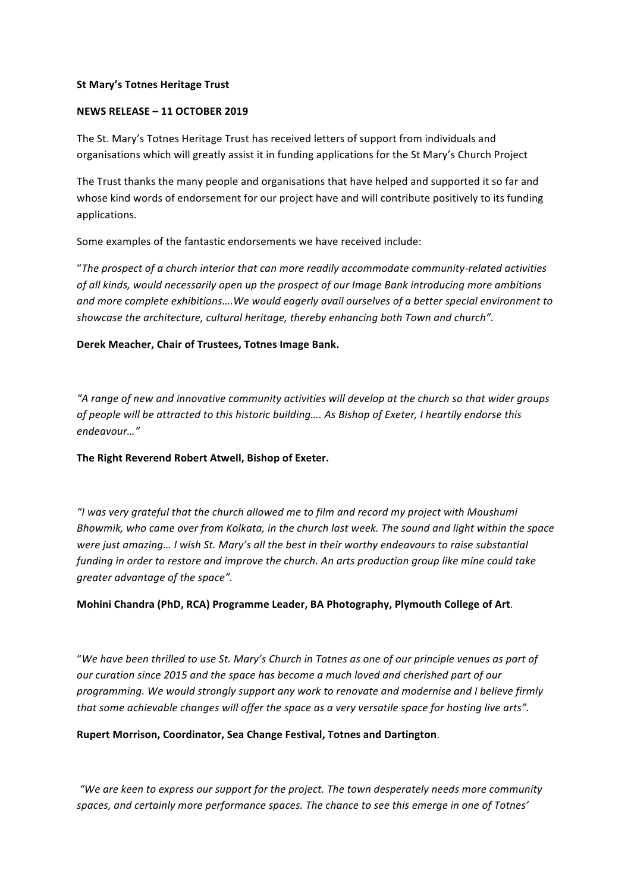#### **St Mary's Totnes Heritage Trust**

#### **NEWS RELEASE – 11 OCTOBER 2019**

The St. Mary's Totnes Heritage Trust has received letters of support from individuals and organisations which will greatly assist it in funding applications for the St Mary's Church Project

The Trust thanks the many people and organisations that have helped and supported it so far and whose kind words of endorsement for our project have and will contribute positively to its funding applications.

Some examples of the fantastic endorsements we have received include:

"The prospect of a church interior that can more readily accommodate community-related activities of all kinds, would necessarily open up the prospect of our Image Bank introducing more ambitions and more complete exhibitions....We would eagerly avail ourselves of a better special environment to showcase the architecture, cultural heritage, thereby enhancing both Town and church".

### Derek Meacher, Chair of Trustees, Totnes Image Bank.

"A range of new and innovative community activities will develop at the church so that wider groups of people will be attracted to this historic building.... As Bishop of Exeter, I heartily endorse this *endeavour…"*

#### The Right Reverend Robert Atwell, Bishop of Exeter.

"I was very grateful that the church allowed me to film and record my project with Moushumi Bhowmik, who came over from Kolkata, in the church last week. The sound and light within the space were just amazing... I wish St. Mary's all the best in their worthy endeavours to raise substantial funding in order to restore and improve the church. An arts production group like mine could take *greater advantage of the space".*

### **Mohini Chandra (PhD, RCA) Programme Leader, BA Photography, Plymouth College of Art.**

"We have been thrilled to use St. Mary's Church in Totnes as one of our principle venues as part of *our* curation since 2015 and the space has become a much loved and cherished part of our programming. We would strongly support any work to renovate and modernise and I believe firmly that some achievable changes will offer the space as a very versatile space for hosting live arts".

### **Rupert Morrison, Coordinator, Sea Change Festival, Totnes and Dartington.**

*"We are keen to express our support for the project. The town desperately needs more community* spaces, and certainly more performance spaces. The chance to see this emerge in one of Totnes'